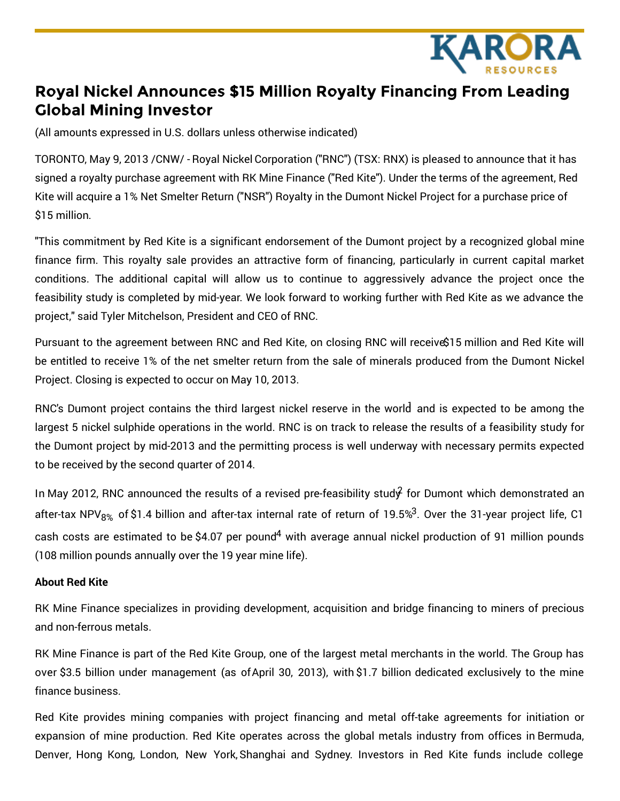

## **Royal Nickel Announces \$15 Million Royalty Financing From Leading Global Mining Investor**

(All amounts expressed in U.S. dollars unless otherwise indicated)

TORONTO, May 9, 2013 /CNW/ - Royal Nickel Corporation ("RNC") (TSX: RNX) is pleased to announce that it has signed a royalty purchase agreement with RK Mine Finance ("Red Kite"). Under the terms of the agreement, Red Kite will acquire a 1% Net Smelter Return ("NSR") Royalty in the Dumont Nickel Project for a purchase price of \$15 million.

"This commitment by Red Kite is a significant endorsement of the Dumont project by a recognized global mine finance firm. This royalty sale provides an attractive form of financing, particularly in current capital market conditions. The additional capital will allow us to continue to aggressively advance the project once the feasibility study is completed by mid-year. We look forward to working further with Red Kite as we advance the project," said Tyler Mitchelson, President and CEO of RNC.

Pursuant to the agreement between RNC and Red Kite, on closing RNC will receive\$15 million and Red Kite will be entitled to receive 1% of the net smelter return from the sale of minerals produced from the Dumont Nickel Project. Closing is expected to occur on May 10, 2013.

RNC's Dumont project contains the third largest nickel reserve in the world and is expected to be among the largest 5 nickel sulphide operations in the world. RNC is on track to release the results of a feasibility study for the Dumont project by mid-2013 and the permitting process is well underway with necessary permits expected to be received by the second quarter of 2014.

In May 2012, RNC announced the results of a revised pre-feasibility study for Dumont which demonstrated an after-tax NPV<sub>8%</sub> of \$1.4 billion and after-tax internal rate of return of 19.5%<sup>3</sup>. Over the 31-year project life, C1 cash costs are estimated to be \$4.07 per pound<sup>4</sup> with average annual nickel production of 91 million pounds (108 million pounds annually over the 19 year mine life).

## **About Red Kite**

RK Mine Finance specializes in providing development, acquisition and bridge financing to miners of precious and non-ferrous metals.

RK Mine Finance is part of the Red Kite Group, one of the largest metal merchants in the world. The Group has over \$3.5 billion under management (as ofApril 30, 2013), with \$1.7 billion dedicated exclusively to the mine finance business.

Red Kite provides mining companies with project financing and metal off-take agreements for initiation or expansion of mine production. Red Kite operates across the global metals industry from offices in Bermuda, Denver, Hong Kong, London, New York,Shanghai and Sydney. Investors in Red Kite funds include college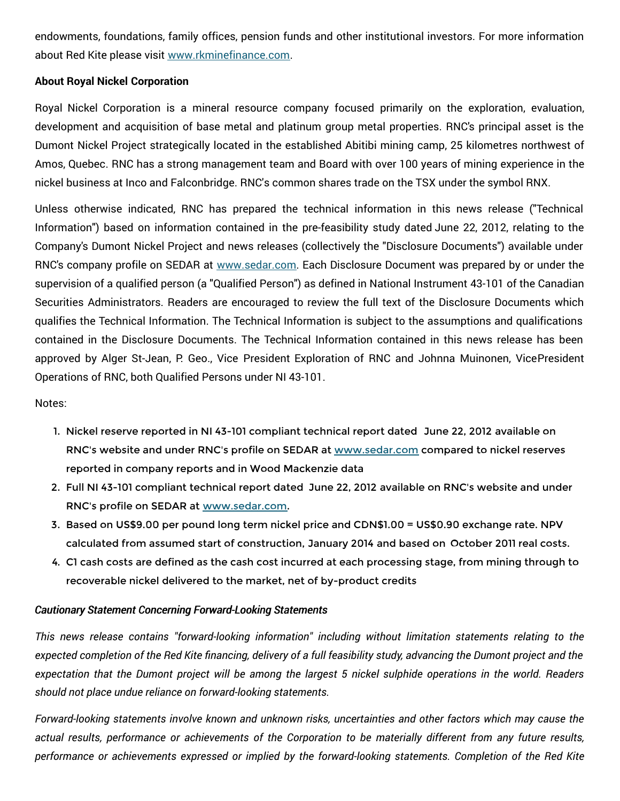endowments, foundations, family offices, pension funds and other institutional investors. For more information about Red Kite please visit [www.rkminefinance.com](http://www.rkminefinance.com).

## **About Royal Nickel Corporation**

Royal Nickel Corporation is a mineral resource company focused primarily on the exploration, evaluation, development and acquisition of base metal and platinum group metal properties. RNC's principal asset is the Dumont Nickel Project strategically located in the established Abitibi mining camp, 25 kilometres northwest of Amos, Quebec. RNC has a strong management team and Board with over 100 years of mining experience in the nickel business at Inco and Falconbridge. RNC's common shares trade on the TSX under the symbol RNX.

Unless otherwise indicated, RNC has prepared the technical information in this news release ("Technical Information") based on information contained in the pre-feasibility study dated June 22, 2012, relating to the Company's Dumont Nickel Project and news releases (collectively the "Disclosure Documents") available under RNC's company profile on SEDAR at [www.sedar.com](http://www.sedar.com). Each Disclosure Document was prepared by or under the supervision of a qualified person (a "Qualified Person") as defined in National Instrument 43-101 of the Canadian Securities Administrators. Readers are encouraged to review the full text of the Disclosure Documents which qualifies the Technical Information. The Technical Information is subject to the assumptions and qualifications contained in the Disclosure Documents. The Technical Information contained in this news release has been approved by Alger St-Jean, P. Geo., Vice President Exploration of RNC and Johnna Muinonen, VicePresident Operations of RNC, both Qualified Persons under NI 43-101.

Notes:

- 1. Nickel reserve reported in NI 43-101 compliant technical report dated June 22, 2012 available on RNC's website and under RNC's profile on SEDAR at [www.sedar.com](http://www.sedar.com) compared to nickel reserves reported in company reports and in Wood Mackenzie data
- 2. Full NI 43-101 compliant technical report dated June 22, 2012 available on RNC's website and under RNC's profile on SEDAR at [www.sedar.com](http://www.sedar.com).
- 3. Based on US\$9.00 per pound long term nickel price and CDN\$1.00 = US\$0.90 exchange rate. NPV calculated from assumed start of construction, January 2014 and based on October 2011 real costs.
- 4. C1 cash costs are defined as the cash cost incurred at each processing stage, from mining through to recoverable nickel delivered to the market, net of by-product credits

## *Cautionary Statement Concerning Forward-Looking Statements*

*This news release contains "forward-looking information" including without limitation statements relating to the* expected completion of the Red Kite financing, delivery of a full feasibility study, advancing the Dumont project and the expectation that the Dumont project will be among the largest 5 nickel sulphide operations in the world. Readers *should not place undue reliance on forward-looking statements.*

*Forward-looking statements involve known and unknown risks, uncertainties and other factors which may cause the* actual results, performance or achievements of the Corporation to be materially different from any future results, *performance or achievements expressed or implied by the forward-looking statements. Completion of the Red Kite*